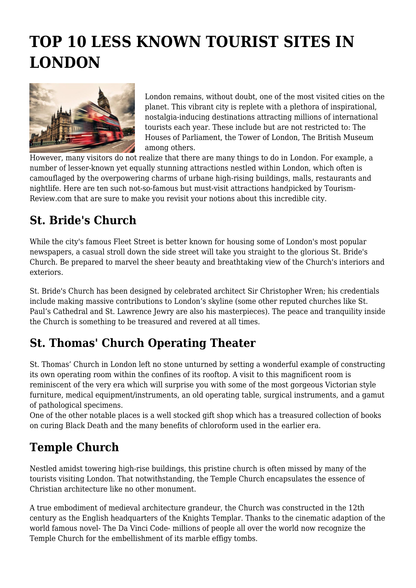# **TOP 10 LESS KNOWN TOURIST SITES IN LONDON**



London remains, without doubt, one of the most visited cities on the planet. This vibrant city is replete with a plethora of inspirational, nostalgia-inducing destinations attracting millions of international tourists each year. These include but are not restricted to: The Houses of Parliament, the Tower of London, The British Museum among others.

However, many visitors do not realize that there are many things to do in London. For example, a number of lesser-known yet equally stunning attractions nestled within London, which often is camouflaged by the overpowering charms of urbane high-rising buildings, malls, restaurants and nightlife. Here are ten such not-so-famous but must-visit attractions handpicked by Tourism-Review.com that are sure to make you revisit your notions about this incredible city.

## **St. Bride's Church**

While the city's famous Fleet Street is better known for housing some of London's most popular newspapers, a casual stroll down the side street will take you straight to the glorious St. Bride's Church. Be prepared to marvel the sheer beauty and breathtaking view of the Church's interiors and exteriors.

St. Bride's Church has been designed by celebrated architect Sir Christopher Wren; his credentials include making massive contributions to London's skyline (some other reputed churches like St. Paul's Cathedral and St. Lawrence Jewry are also his masterpieces). The peace and tranquility inside the Church is something to be treasured and revered at all times.

# **St. Thomas' Church Operating Theater**

St. Thomas' Church in London left no stone unturned by setting a wonderful example of constructing its own operating room within the confines of its rooftop. A visit to this magnificent room is reminiscent of the very era which will surprise you with some of the most gorgeous Victorian style furniture, medical equipment/instruments, an old operating table, surgical instruments, and a gamut of pathological specimens.

One of the other notable places is a well stocked gift shop which has a treasured collection of books on curing Black Death and the many benefits of chloroform used in the earlier era.

## **Temple Church**

Nestled amidst towering high-rise buildings, this pristine church is often missed by many of the tourists visiting London. That notwithstanding, the Temple Church encapsulates the essence of Christian architecture like no other monument.

A true embodiment of medieval architecture grandeur, the Church was constructed in the 12th century as the English headquarters of the Knights Templar. Thanks to the cinematic adaption of the world famous novel- The Da Vinci Code- millions of people all over the world now recognize the Temple Church for the embellishment of its marble effigy tombs.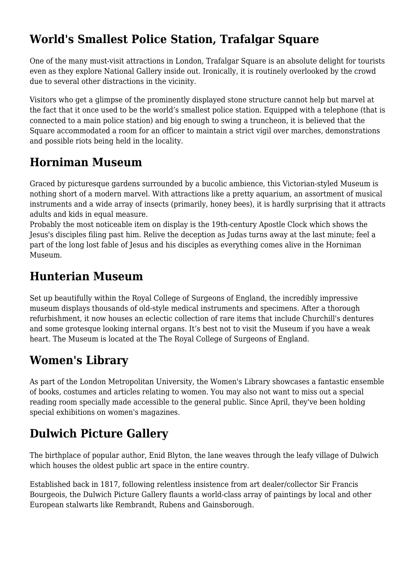## **World's Smallest Police Station, Trafalgar Square**

One of the many must-visit attractions in London, Trafalgar Square is an absolute delight for tourists even as they explore National Gallery inside out. Ironically, it is routinely overlooked by the crowd due to several other distractions in the vicinity.

Visitors who get a glimpse of the prominently displayed stone structure cannot help but marvel at the fact that it once used to be the world's smallest police station. Equipped with a telephone (that is connected to a main police station) and big enough to swing a truncheon, it is believed that the Square accommodated a room for an officer to maintain a strict vigil over marches, demonstrations and possible riots being held in the locality.

#### **Horniman Museum**

Graced by picturesque gardens surrounded by a bucolic ambience, this Victorian-styled Museum is nothing short of a modern marvel. With attractions like a pretty aquarium, an assortment of musical instruments and a wide array of insects (primarily, honey bees), it is hardly surprising that it attracts adults and kids in equal measure.

Probably the most noticeable item on display is the 19th-century Apostle Clock which shows the Jesus's disciples filing past him. Relive the deception as Judas turns away at the last minute; feel a part of the long lost fable of Jesus and his disciples as everything comes alive in the Horniman Museum.

#### **Hunterian Museum**

Set up beautifully within the Royal College of Surgeons of England, the incredibly impressive museum displays thousands of old-style medical instruments and specimens. After a thorough refurbishment, it now houses an eclectic collection of rare items that include Churchill's dentures and some grotesque looking internal organs. It's best not to visit the Museum if you have a weak heart. The Museum is located at the The Royal College of Surgeons of England.

#### **Women's Library**

As part of the London Metropolitan University, the Women's Library showcases a fantastic ensemble of books, costumes and articles relating to women. You may also not want to miss out a special reading room specially made accessible to the general public. Since April, they've been holding special exhibitions on women's magazines.

## **Dulwich Picture Gallery**

The birthplace of popular author, Enid Blyton, the lane weaves through the leafy village of Dulwich which houses the oldest public art space in the entire country.

Established back in 1817, following relentless insistence from art dealer/collector Sir Francis Bourgeois, the Dulwich Picture Gallery flaunts a world-class array of paintings by local and other European stalwarts like Rembrandt, Rubens and Gainsborough.